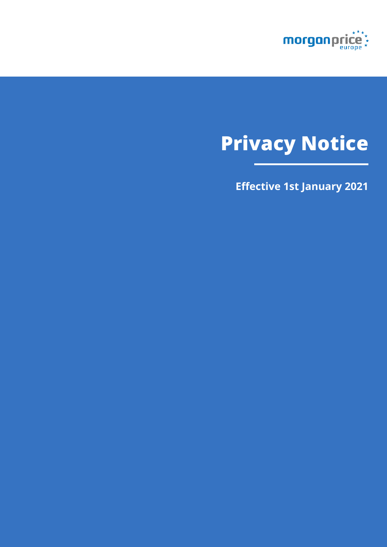

# **Privacy Notice**

**Effective 1st January 2021**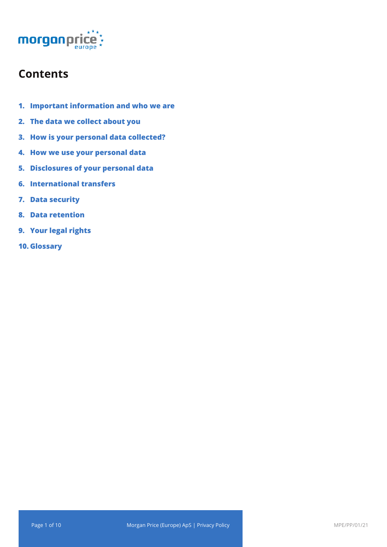

# **Contents**

- **1. Important information and who we are**
- **2. The data we collect about you**
- **3. How is your personal data collected?**
- **4. How we use your personal data**
- **5. Disclosures of your personal data**
- **6. International transfers**
- **7. Data security**
- **8. Data retention**
- **9. Your legal rights**
- **10. Glossary**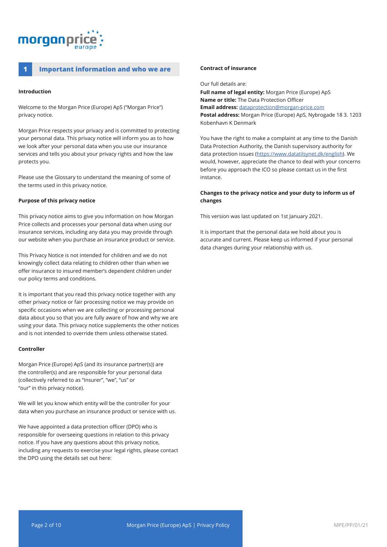# morgangr

### **1 Important information and who we are**

#### **Introduction**

Welcome to the Morgan Price (Europe) ApS ("Morgan Price") privacy notice.

Morgan Price respects your privacy and is committed to protecting your personal data. This privacy notice will inform you as to how we look after your personal data when you use our insurance services and tells you about your privacy rights and how the law protects you.

Please use the Glossary to understand the meaning of some of the terms used in this privacy notice.

#### **Purpose of this privacy notice**

This privacy notice aims to give you information on how Morgan Price collects and processes your personal data when using our insurance services, including any data you may provide through our website when you purchase an insurance product or service.

This Privacy Notice is not intended for children and we do not knowingly collect data relating to children other than when we offer insurance to insured member's dependent children under our policy terms and conditions.

It is important that you read this privacy notice together with any other privacy notice or fair processing notice we may provide on specific occasions when we are collecting or processing personal data about you so that you are fully aware of how and why we are using your data. This privacy notice supplements the other notices and is not intended to override them unless otherwise stated.

#### **Controller**

Morgan Price (Europe) ApS (and its insurance partner(s)) are the controller(s) and are responsible for your personal data (collectively referred to as "Insurer", "we", "us" or "our" in this privacy notice).

We will let you know which entity will be the controller for your data when you purchase an insurance product or service with us.

We have appointed a data protection officer (DPO) who is responsible for overseeing questions in relation to this privacy notice. If you have any questions about this privacy notice, including any requests to exercise your legal rights, please contact the DPO using the details set out here:

#### **Contract of insurance**

Our full details are:

**Full name of legal entity:** Morgan Price (Europe) ApS **Name or title:** The Data Protection Officer **Email address:** dataprotection@morgan-price.com **Postal address:** Morgan Price (Europe) ApS, Nybrogade 18 3. 1203 Kobenhavn K Denmark

You have the right to make a complaint at any time to the Danish Data Protection Authority, the Danish supervisory authority for data protection issues (https://www.datatilsynet.dk/english). We would, however, appreciate the chance to deal with your concerns before you approach the ICO so please contact us in the first instance.

#### **Changes to the privacy notice and your duty to inform us of changes**

This version was last updated on 1st January 2021.

It is important that the personal data we hold about you is accurate and current. Please keep us informed if your personal data changes during your relationship with us.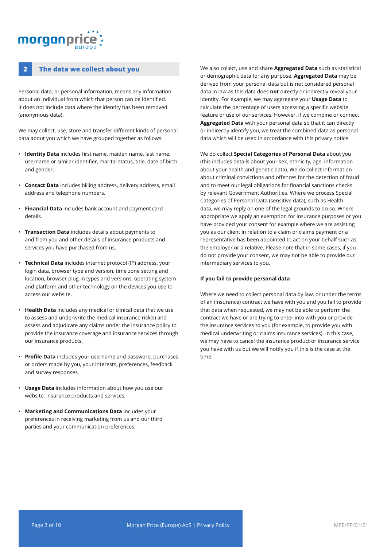# morganp

### **2 The data we collect about you**

Personal data, or personal information, means any information about an individual from which that person can be identified. It does not include data where the identity has been removed (anonymous data).

We may collect, use, store and transfer different kinds of personal data about you which we have grouped together as follows:

- **Identity Data** includes first name, maiden name, last name, username or similar identifier, marital status, title, date of birth and gender.
- **Contact Data** includes billing address, delivery address, email address and telephone numbers.
- **Financial Data** includes bank account and payment card details.
- **Transaction Data** includes details about payments to and from you and other details of insurance products and services you have purchased from us.
- **Technical Data** includes internet protocol (IP) address, your login data, browser type and version, time zone setting and location, browser plug-in types and versions, operating system and platform and other technology on the devices you use to access our website.
- **Health Data** includes any medical or clinical data that we use to assess and underwrite the medical insurance risk(s) and assess and adjudicate any claims under the insurance policy to provide the insurance coverage and insurance services through our insurance products.
- **Profile Data** includes your username and password, purchases or orders made by you, your interests, preferences, feedback and survey responses.
- **Usage Data** includes information about how you use our website, insurance products and services.
- **Marketing and Communications Data** includes your preferences in receiving marketing from us and our third parties and your communication preferences.

We also collect, use and share **Aggregated Data** such as statistical or demographic data for any purpose. **Aggregated Data** may be derived from your personal data but is not considered personal data in law as this data does **not** directly or indirectly reveal your identity. For example, we may aggregate your **Usage Data** to calculate the percentage of users accessing a specific website feature or use of our services. However, if we combine or connect **Aggregated Data** with your personal data so that it can directly or indirectly identify you, we treat the combined data as personal data which will be used in accordance with this privacy notice.

We do collect **Special Categories of Personal Data** about you (this includes details about your sex, ethnicity, age, information about your health and genetic data). We do collect information about criminal convictions and offences for the detection of fraud and to meet our legal obligations for financial sanctions checks by relevant Government Authorities. Where we process Special Categories of Personal Data (sensitive data), such as Health data, we may reply on one of the legal grounds to do so. Where appropriate we apply an exemption for insurance purposes or you have provided your consent for example where we are assisting you as our client in relation to a claim or claims payment or a representative has been appointed to act on your behalf such as the employer or a relative. Please note that in some cases, if you do not provide your consent, we may not be able to provide our intermediary services to you.

#### **If you fail to provide personal data**

Where we need to collect personal data by law, or under the terms of an (insurance) contract we have with you and you fail to provide that data when requested, we may not be able to perform the contract we have or are trying to enter into with you or provide the insurance services to you (for example, to provide you with medical underwriting or claims insurance services). In this case, we may have to cancel the insurance product or insurance service you have with us but we will notify you if this is the case at the time.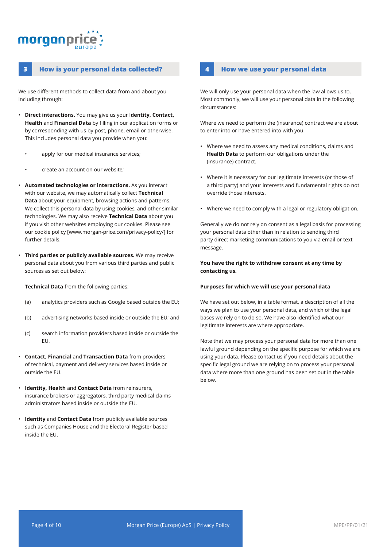# morganp

### **3 How is your personal data collected?**

We use different methods to collect data from and about you including through:

- **Direct interactions.** You may give us your I**dentity, Contact, Health** and **Financial Data** by filling in our application forms or by corresponding with us by post, phone, email or otherwise. This includes personal data you provide when you:
	- apply for our medical insurance services;
	- create an account on our website;
- **Automated technologies or interactions.** As you interact with our website, we may automatically collect **Technical Data** about your equipment, browsing actions and patterns. We collect this personal data by using cookies, and other similar technologies. We may also receive **Technical Data** about you if you visit other websites employing our cookies. Please see our cookie policy [www.morgan-price.com/privacy-policy/] for further details.
- **Third parties or publicly available sources.** We may receive personal data about you from various third parties and public sources as set out below:

**Technical Data** from the following parties:

- (a) analytics providers such as Google based outside the EU;
- (b) advertising networks based inside or outside the EU; and
- (c) search information providers based inside or outside the EU.
- **Contact, Financial** and **Transaction Data** from providers of technical, payment and delivery services based inside or outside the EU.
- **Identity, Health** and **Contact Data** from reinsurers, insurance brokers or aggregators, third party medical claims administrators based inside or outside the EU.
- **Identity** and **Contact Data** from publicly available sources such as Companies House and the Electoral Register based inside the EU.

#### **4 How we use your personal data**

We will only use your personal data when the law allows us to. Most commonly, we will use your personal data in the following circumstances:

Where we need to perform the (insurance) contract we are about to enter into or have entered into with you.

- Where we need to assess any medical conditions, claims and **Health Data** to perform our obligations under the (insurance) contract.
- Where it is necessary for our legitimate interests (or those of a third party) and your interests and fundamental rights do not override those interests.
- Where we need to comply with a legal or regulatory obligation.

Generally we do not rely on consent as a legal basis for processing your personal data other than in relation to sending third party direct marketing communications to you via email or text message.

#### **You have the right to withdraw consent at any time by contacting us.**

#### **Purposes for which we will use your personal data**

We have set out below, in a table format, a description of all the ways we plan to use your personal data, and which of the legal bases we rely on to do so. We have also identified what our legitimate interests are where appropriate.

Note that we may process your personal data for more than one lawful ground depending on the specific purpose for which we are using your data. Please contact us if you need details about the specific legal ground we are relying on to process your personal data where more than one ground has been set out in the table below.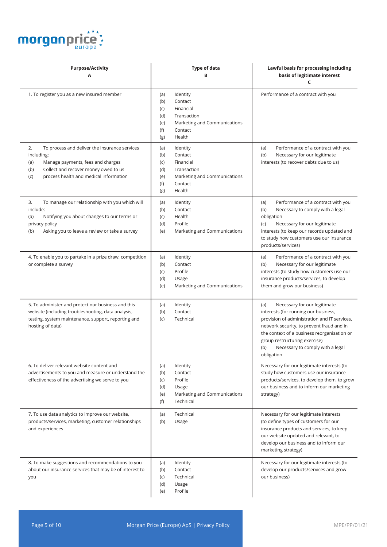

| <b>Purpose/Activity</b><br>А                                                                                                                                                                                  | <b>Type of data</b><br>в                                                                                                                              | Lawful basis for processing including<br>basis of legitimate interest<br>C                                                                                                                                                                                                                                        |
|---------------------------------------------------------------------------------------------------------------------------------------------------------------------------------------------------------------|-------------------------------------------------------------------------------------------------------------------------------------------------------|-------------------------------------------------------------------------------------------------------------------------------------------------------------------------------------------------------------------------------------------------------------------------------------------------------------------|
| 1. To register you as a new insured member                                                                                                                                                                    | Identity<br>(a)<br>(b)<br>Contact<br>(c)<br>Financial<br>(d)<br>Transaction<br>Marketing and Communications<br>(e)<br>(f)<br>Contact<br>Health<br>(g) | Performance of a contract with you                                                                                                                                                                                                                                                                                |
| 2.<br>To process and deliver the insurance services<br>including:<br>Manage payments, fees and charges<br>(a)<br>Collect and recover money owed to us<br>(b)<br>process health and medical information<br>(c) | Identity<br>(a)<br>(b)<br>Contact<br>Financial<br>(C)<br>(d)<br>Transaction<br>Marketing and Communications<br>(e)<br>(f)<br>Contact<br>Health<br>(g) | Performance of a contract with you<br>(a)<br>Necessary for our legitimate<br>(b)<br>interests (to recover debts due to us)                                                                                                                                                                                        |
| To manage our relationship with you which will<br>3.<br>include:<br>Notifying you about changes to our terms or<br>(a)<br>privacy policy<br>(b)<br>Asking you to leave a review or take a survey              | Identity<br>(a)<br>(b)<br>Contact<br>Health<br>(C)<br>Profile<br>(d)<br>(e)<br>Marketing and Communications                                           | Performance of a contract with you<br>(a)<br>Necessary to comply with a legal<br>(b)<br>obligation<br>Necessary for our legitimate<br>(c)<br>interests (to keep our records updated and<br>to study how customers use our insurance<br>products/services)                                                         |
| 4. To enable you to partake in a prize draw, competition<br>or complete a survey                                                                                                                              | Identity<br>(a)<br>(b)<br>Contact<br>Profile<br>(c)<br>(d)<br>Usage<br>(e)<br>Marketing and Communications                                            | Performance of a contract with you<br>(a)<br>(b)<br>Necessary for our legitimate<br>interests (to study how customers use our<br>insurance products/services, to develop<br>them and grow our business)                                                                                                           |
| 5. To administer and protect our business and this<br>website (including troubleshooting, data analysis,<br>testing, system maintenance, support, reporting and<br>hosting of data)                           | Identity<br>(a)<br>(b)<br>Contact<br>Technical<br>(c)                                                                                                 | Necessary for our legitimate<br>(a)<br>interests (for running our business,<br>provision of administration and IT services,<br>network security, to prevent fraud and in<br>the context of a business reorganisation or<br>group restructuring exercise)<br>Necessary to comply with a legal<br>(b)<br>obligation |
| 6. To deliver relevant website content and<br>advertisements to you and measure or understand the<br>effectiveness of the advertising we serve to you                                                         | Identity<br>(a)<br>(b)<br>Contact<br>Profile<br>(c)<br>(d)<br>Usage<br>Marketing and Communications<br>(e)<br>(f)<br>Technical                        | Necessary for our legitimate interests (to<br>study how customers use our insurance<br>products/services, to develop them, to grow<br>our business and to inform our marketing<br>strategy)                                                                                                                       |
| 7. To use data analytics to improve our website,<br>products/services, marketing, customer relationships<br>and experiences                                                                                   | Technical<br>(a)<br>(b)<br>Usage                                                                                                                      | Necessary for our legitimate interests<br>(to define types of customers for our<br>insurance products and services, to keep<br>our website updated and relevant, to<br>develop our business and to inform our<br>marketing strategy)                                                                              |
| 8. To make suggestions and recommendations to you<br>about our insurance services that may be of interest to<br>you                                                                                           | Identity<br>(a)<br>(b)<br>Contact<br>(c)<br>Technical<br>(d)<br>Usage<br>Profile<br>(e)                                                               | Necessary for our legitimate interests (to<br>develop our products/services and grow<br>our business)                                                                                                                                                                                                             |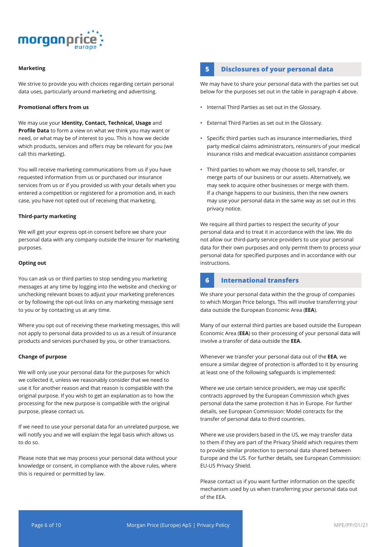

#### **Marketing**

We strive to provide you with choices regarding certain personal data uses, particularly around marketing and advertising.

#### **Promotional offers from us**

We may use your **Identity, Contact, Technical, Usage** and **Profile Data** to form a view on what we think you may want or need, or what may be of interest to you. This is how we decide which products, services and offers may be relevant for you (we call this marketing).

You will receive marketing communications from us if you have requested information from us or purchased our insurance services from us or if you provided us with your details when you entered a competition or registered for a promotion and, in each case, you have not opted out of receiving that marketing.

#### **Third-party marketing**

We will get your express opt-in consent before we share your personal data with any company outside the Insurer for marketing purposes.

#### **Opting out**

You can ask us or third parties to stop sending you marketing messages at any time by logging into the website and checking or unchecking relevant boxes to adjust your marketing preferences or by following the opt-out links on any marketing message sent to you or by contacting us at any time.

Where you opt out of receiving these marketing messages, this will not apply to personal data provided to us as a result of insurance products and services purchased by you, or other transactions.

#### **Change of purpose**

We will only use your personal data for the purposes for which we collected it, unless we reasonably consider that we need to use it for another reason and that reason is compatible with the original purpose. If you wish to get an explanation as to how the processing for the new purpose is compatible with the original purpose, please contact us.

If we need to use your personal data for an unrelated purpose, we will notify you and we will explain the legal basis which allows us to do so.

Please note that we may process your personal data without your knowledge or consent, in compliance with the above rules, where this is required or permitted by law.

#### **5 Disclosures of your personal data**

We may have to share your personal data with the parties set out below for the purposes set out in the table in paragraph 4 above.

- Internal Third Parties as set out in the Glossary.
- External Third Parties as set out in the Glossary.
- Specific third parties such as insurance intermediaries, third party medical claims administrators, reinsurers of your medical insurance risks and medical evacuation assistance companies
- Third parties to whom we may choose to sell, transfer, or merge parts of our business or our assets. Alternatively, we may seek to acquire other businesses or merge with them. If a change happens to our business, then the new owners may use your personal data in the same way as set out in this privacy notice.

We require all third parties to respect the security of your personal data and to treat it in accordance with the law. We do not allow our third-party service providers to use your personal data for their own purposes and only permit them to process your personal data for specified purposes and in accordance with our instructions.

# **6 International transfers**

We share your personal data within the the group of companies to which Morgan Price belongs. This will involve transferring your data outside the European Economic Area (**EEA**).

Many of our external third parties are based outside the European Economic Area (**EEA**) so their processing of your personal data will involve a transfer of data outside the **EEA**.

Whenever we transfer your personal data out of the **EEA**, we ensure a similar degree of protection is afforded to it by ensuring at least one of the following safeguards is implemented:

Where we use certain service providers, we may use specific contracts approved by the European Commission which gives personal data the same protection it has in Europe. For further details, see European Commission: Model contracts for the transfer of personal data to third countries.

Where we use providers based in the US, we may transfer data to them if they are part of the Privacy Shield which requires them to provide similar protection to personal data shared between Europe and the US. For further details, see European Commission: EU-US Privacy Shield.

Please contact us if you want further information on the specific mechanism used by us when transferring your personal data out of the EEA.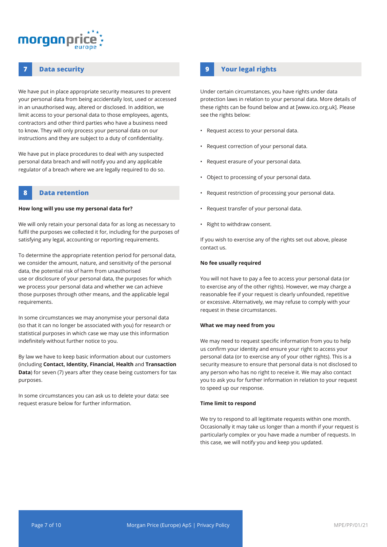# moraano

# **7 Data security**

We have put in place appropriate security measures to prevent your personal data from being accidentally lost, used or accessed in an unauthorised way, altered or disclosed. In addition, we limit access to your personal data to those employees, agents, contractors and other third parties who have a business need to know. They will only process your personal data on our instructions and they are subject to a duty of confidentiality.

We have put in place procedures to deal with any suspected personal data breach and will notify you and any applicable regulator of a breach where we are legally required to do so.

## **8 Data retention**

#### **How long will you use my personal data for?**

We will only retain your personal data for as long as necessary to fulfil the purposes we collected it for, including for the purposes of satisfying any legal, accounting or reporting requirements.

To determine the appropriate retention period for personal data, we consider the amount, nature, and sensitivity of the personal data, the potential risk of harm from unauthorised use or disclosure of your personal data, the purposes for which we process your personal data and whether we can achieve those purposes through other means, and the applicable legal requirements.

In some circumstances we may anonymise your personal data (so that it can no longer be associated with you) for research or statistical purposes in which case we may use this information indefinitely without further notice to you.

By law we have to keep basic information about our customers (including **Contact, Identity, Financial, Health** and **Transaction Data**) for seven (7) years after they cease being customers for tax purposes.

In some circumstances you can ask us to delete your data: see request erasure below for further information.

### **9 Your legal rights**

Under certain circumstances, you have rights under data protection laws in relation to your personal data. More details of these rights can be found below and at [www.ico.org.uk]. Please see the rights below:

- Request access to your personal data.
- Request correction of your personal data.
- Request erasure of your personal data.
- Object to processing of your personal data.
- Request restriction of processing your personal data.
- Request transfer of your personal data.
- Right to withdraw consent.

If you wish to exercise any of the rights set out above, please contact us.

#### **No fee usually required**

You will not have to pay a fee to access your personal data (or to exercise any of the other rights). However, we may charge a reasonable fee if your request is clearly unfounded, repetitive or excessive. Alternatively, we may refuse to comply with your request in these circumstances.

#### **What we may need from you**

We may need to request specific information from you to help us confirm your identity and ensure your right to access your personal data (or to exercise any of your other rights). This is a security measure to ensure that personal data is not disclosed to any person who has no right to receive it. We may also contact you to ask you for further information in relation to your request to speed up our response.

#### **Time limit to respond**

We try to respond to all legitimate requests within one month. Occasionally it may take us longer than a month if your request is particularly complex or you have made a number of requests. In this case, we will notify you and keep you updated.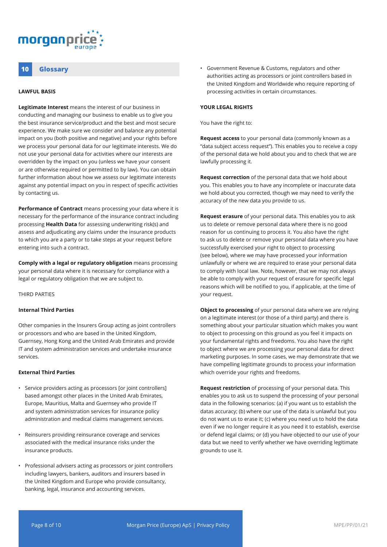

## **10 Glossary**

#### **LAWFUL BASIS**

**Legitimate Interest** means the interest of our business in conducting and managing our business to enable us to give you the best insurance service/product and the best and most secure experience. We make sure we consider and balance any potential impact on you (both positive and negative) and your rights before we process your personal data for our legitimate interests. We do not use your personal data for activities where our interests are overridden by the impact on you (unless we have your consent or are otherwise required or permitted to by law). You can obtain further information about how we assess our legitimate interests against any potential impact on you in respect of specific activities by contacting us.

**Performance of Contract** means processing your data where it is necessary for the performance of the insurance contract including processing **Health Data** for assessing underwriting risk(s) and assess and adjudicating any claims under the insurance products to which you are a party or to take steps at your request before entering into such a contract.

**Comply with a legal or regulatory obligation** means processing your personal data where it is necessary for compliance with a legal or regulatory obligation that we are subject to.

#### THIRD PARTIES

#### **Internal Third Parties**

Other companies in the Insurers Group acting as joint controllers or processors and who are based in the United Kingdom, Guernsey, Hong Kong and the United Arab Emirates and provide IT and system administration services and undertake insurance services.

#### **External Third Parties**

- Service providers acting as processors [or joint controllers] based amongst other places in the United Arab Emirates, Europe, Mauritius, Malta and Guernsey who provide IT and system administration services for insurance policy administration and medical claims management services.
- Reinsurers providing reinsurance coverage and services associated with the medical insurance risks under the insurance products.
- Professional advisers acting as processors or joint controllers including lawyers, bankers, auditors and insurers based in the United Kingdom and Europe who provide consultancy, banking, legal, insurance and accounting services.

• Government Revenue & Customs, regulators and other authorities acting as processors or joint controllers based in the United Kingdom and Worldwide who require reporting of processing activities in certain circumstances.

#### **YOUR LEGAL RIGHTS**

You have the right to:

**Request access** to your personal data (commonly known as a "data subject access request"). This enables you to receive a copy of the personal data we hold about you and to check that we are lawfully processing it.

**Request correction** of the personal data that we hold about you. This enables you to have any incomplete or inaccurate data we hold about you corrected, though we may need to verify the accuracy of the new data you provide to us.

**Request erasure** of your personal data. This enables you to ask us to delete or remove personal data where there is no good reason for us continuing to process it. You also have the right to ask us to delete or remove your personal data where you have successfully exercised your right to object to processing (see below), where we may have processed your information unlawfully or where we are required to erase your personal data to comply with local law. Note, however, that we may not always be able to comply with your request of erasure for specific legal reasons which will be notified to you, if applicable, at the time of your request.

**Object to processing** of your personal data where we are relying on a legitimate interest (or those of a third party) and there is something about your particular situation which makes you want to object to processing on this ground as you feel it impacts on your fundamental rights and freedoms. You also have the right to object where we are processing your personal data for direct marketing purposes. In some cases, we may demonstrate that we have compelling legitimate grounds to process your information which override your rights and freedoms.

**Request restriction** of processing of your personal data. This enables you to ask us to suspend the processing of your personal data in the following scenarios: (a) if you want us to establish the datas accuracy; (b) where our use of the data is unlawful but you do not want us to erase it; (c) where you need us to hold the data even if we no longer require it as you need it to establish, exercise or defend legal claims; or (d) you have objected to our use of your data but we need to verify whether we have overriding legitimate grounds to use it.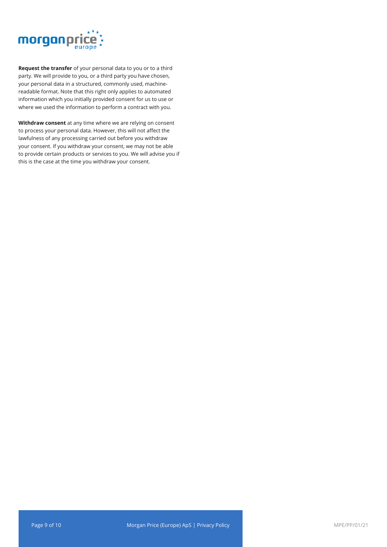

**Request the transfer** of your personal data to you or to a third party. We will provide to you, or a third party you have chosen, your personal data in a structured, commonly used, machinereadable format. Note that this right only applies to automated information which you initially provided consent for us to use or where we used the information to perform a contract with you.

**Withdraw consent** at any time where we are relying on consent to process your personal data. However, this will not affect the lawfulness of any processing carried out before you withdraw your consent. If you withdraw your consent, we may not be able to provide certain products or services to you. We will advise you if this is the case at the time you withdraw your consent.